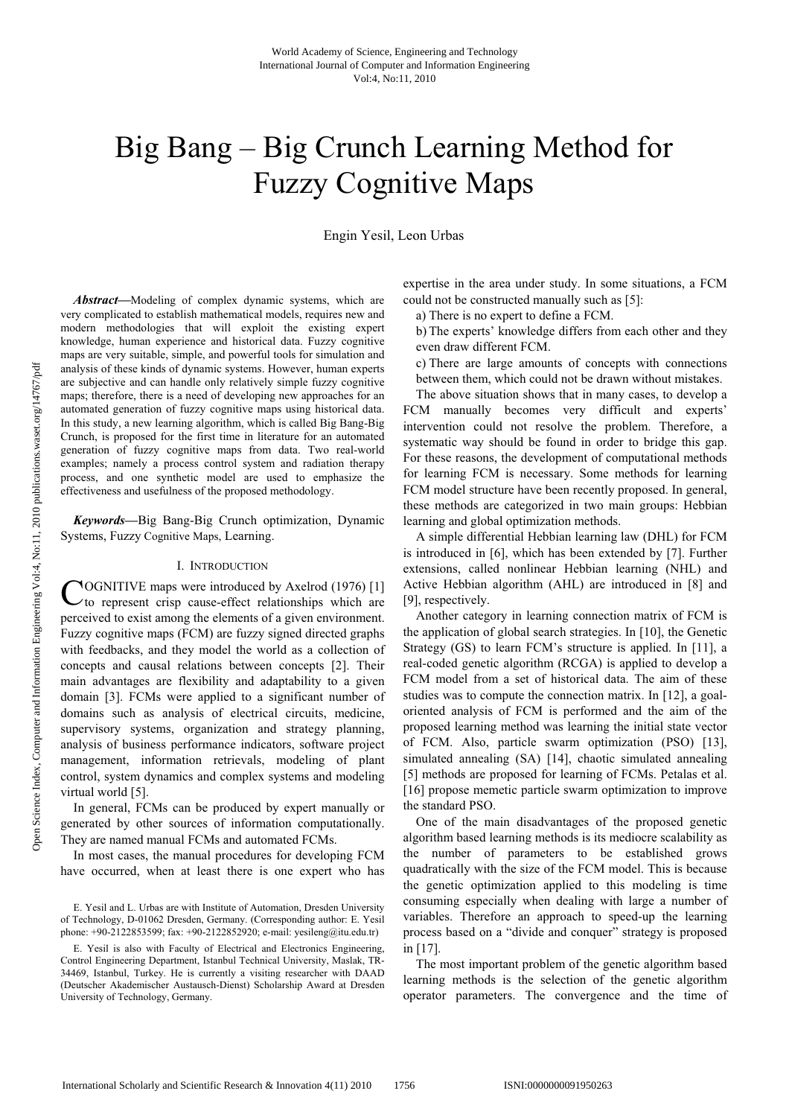# Big Bang – Big Crunch Learning Method for Fuzzy Cognitive Maps

Engin Yesil, Leon Urbas

*Abstract***—**Modeling of complex dynamic systems, which are very complicated to establish mathematical models, requires new and modern methodologies that will exploit the existing expert knowledge, human experience and historical data. Fuzzy cognitive maps are very suitable, simple, and powerful tools for simulation and analysis of these kinds of dynamic systems. However, human experts are subjective and can handle only relatively simple fuzzy cognitive maps; therefore, there is a need of developing new approaches for an automated generation of fuzzy cognitive maps using historical data. In this study, a new learning algorithm, which is called Big Bang-Big Crunch, is proposed for the first time in literature for an automated generation of fuzzy cognitive maps from data. Two real-world examples; namely a process control system and radiation therapy process, and one synthetic model are used to emphasize the effectiveness and usefulness of the proposed methodology.

*Keywords***—**Big Bang-Big Crunch optimization, Dynamic Systems, Fuzzy Cognitive Maps, Learning.

# I. INTRODUCTION

COGNITIVE maps were introduced by Axelrod (1976) [1]<br>
C to represent crisp cause-effect relationships which are  $\vee$  to represent crisp cause-effect relationships which are perceived to exist among the elements of a given environment. Fuzzy cognitive maps (FCM) are fuzzy signed directed graphs with feedbacks, and they model the world as a collection of concepts and causal relations between concepts [2]. Their main advantages are flexibility and adaptability to a given domain [3]. FCMs were applied to a significant number of domains such as analysis of electrical circuits, medicine, supervisory systems, organization and strategy planning, analysis of business performance indicators, software project management, information retrievals, modeling of plant control, system dynamics and complex systems and modeling virtual world [5].

In general, FCMs can be produced by expert manually or generated by other sources of information computationally. They are named manual FCMs and automated FCMs.

In most cases, the manual procedures for developing FCM have occurred, when at least there is one expert who has expertise in the area under study. In some situations, a FCM could not be constructed manually such as [5]:

a) There is no expert to define a FCM.

b) The experts' knowledge differs from each other and they even draw different FCM.

c) There are large amounts of concepts with connections between them, which could not be drawn without mistakes.

The above situation shows that in many cases, to develop a FCM manually becomes very difficult and experts' intervention could not resolve the problem. Therefore, a systematic way should be found in order to bridge this gap. For these reasons, the development of computational methods for learning FCM is necessary. Some methods for learning FCM model structure have been recently proposed. In general, these methods are categorized in two main groups: Hebbian learning and global optimization methods.

A simple differential Hebbian learning law (DHL) for FCM is introduced in [6], which has been extended by [7]. Further extensions, called nonlinear Hebbian learning (NHL) and Active Hebbian algorithm (AHL) are introduced in [8] and [9], respectively.

Another category in learning connection matrix of FCM is the application of global search strategies. In [10], the Genetic Strategy (GS) to learn FCM's structure is applied. In [11], a real-coded genetic algorithm (RCGA) is applied to develop a FCM model from a set of historical data. The aim of these studies was to compute the connection matrix. In [12], a goaloriented analysis of FCM is performed and the aim of the proposed learning method was learning the initial state vector of FCM. Also, particle swarm optimization (PSO) [13], simulated annealing (SA) [14], chaotic simulated annealing [5] methods are proposed for learning of FCMs. Petalas et al. [16] propose memetic particle swarm optimization to improve the standard PSO.

One of the main disadvantages of the proposed genetic algorithm based learning methods is its mediocre scalability as the number of parameters to be established grows quadratically with the size of the FCM model. This is because the genetic optimization applied to this modeling is time consuming especially when dealing with large a number of variables. Therefore an approach to speed-up the learning process based on a "divide and conquer" strategy is proposed in [17].

The most important problem of the genetic algorithm based learning methods is the selection of the genetic algorithm operator parameters. The convergence and the time of

E. Yesil and L. Urbas are with Institute of Automation, Dresden University of Technology, D-01062 Dresden, Germany. (Corresponding author: E. Yesil phone: +90-2122853599; fax: +90-2122852920; e-mail: yesileng@itu.edu.tr)

E. Yesil is also with Faculty of Electrical and Electronics Engineering, Control Engineering Department, Istanbul Technical University, Maslak, TR-34469, Istanbul, Turkey. He is currently a visiting researcher with DAAD (Deutscher Akademischer Austausch-Dienst) Scholarship Award at Dresden University of Technology, Germany.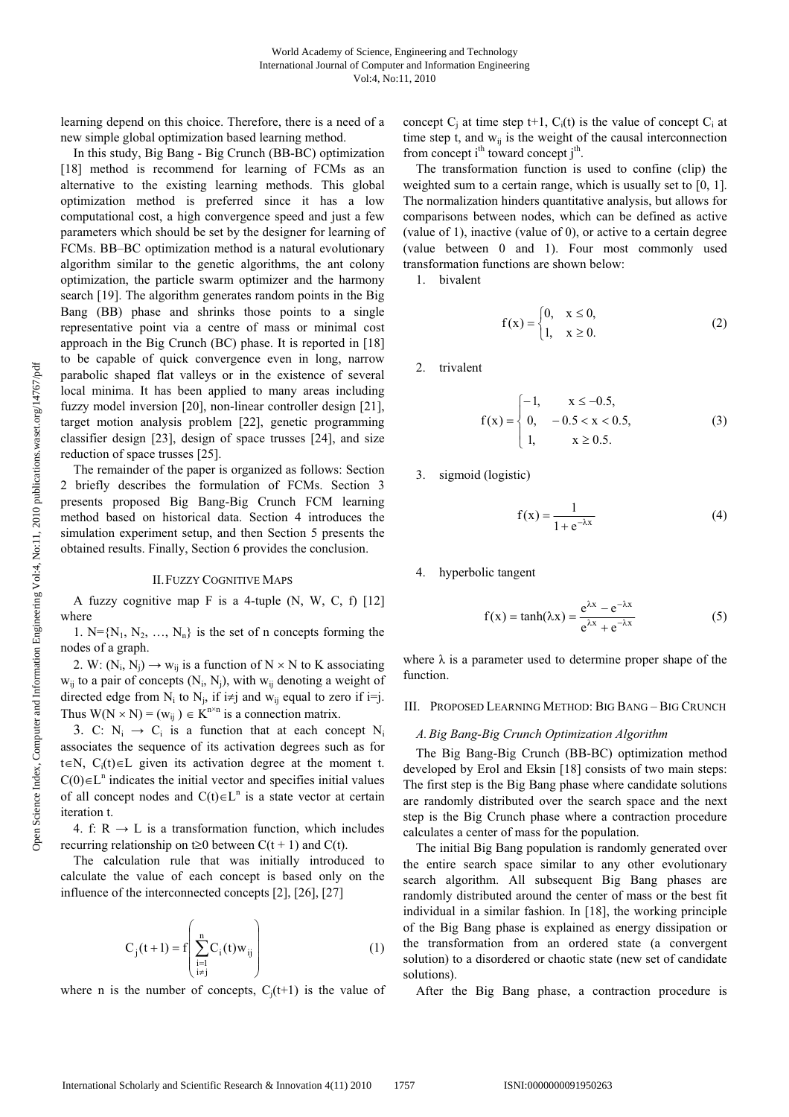learning depend on this choice. Therefore, there is a need of a new simple global optimization based learning method.

In this study, Big Bang - Big Crunch (BB-BC) optimization [18] method is recommend for learning of FCMs as an alternative to the existing learning methods. This global optimization method is preferred since it has a low computational cost, a high convergence speed and just a few parameters which should be set by the designer for learning of FCMs. BB–BC optimization method is a natural evolutionary algorithm similar to the genetic algorithms, the ant colony optimization, the particle swarm optimizer and the harmony search [19]. The algorithm generates random points in the Big Bang (BB) phase and shrinks those points to a single representative point via a centre of mass or minimal cost approach in the Big Crunch (BC) phase. It is reported in [18] to be capable of quick convergence even in long, narrow parabolic shaped flat valleys or in the existence of several local minima. It has been applied to many areas including fuzzy model inversion [20], non-linear controller design [21], target motion analysis problem [22], genetic programming classifier design [23], design of space trusses [24], and size reduction of space trusses [25].

The remainder of the paper is organized as follows: Section 2 briefly describes the formulation of FCMs. Section 3 presents proposed Big Bang-Big Crunch FCM learning method based on historical data. Section 4 introduces the simulation experiment setup, and then Section 5 presents the obtained results. Finally, Section 6 provides the conclusion.

# II.FUZZY COGNITIVE MAPS

A fuzzy cognitive map  $F$  is a 4-tuple (N, W, C, f) [12] where

1.  $N = \{N_1, N_2, ..., N_n\}$  is the set of n concepts forming the nodes of a graph.

2. W:  $(N_i, N_j) \rightarrow w_{ij}$  is a function of  $N \times N$  to K associating  $w_{ij}$  to a pair of concepts  $(N_i, N_j)$ , with  $w_{ij}$  denoting a weight of directed edge from  $N_i$  to  $N_j$ , if  $i \neq j$  and  $w_{ij}$  equal to zero if  $i=j$ . Thus  $W(N \times N) = (w_{ij}) \in K^{n \times n}$  is a connection matrix.

3. C:  $N_i \rightarrow C_i$  is a function that at each concept  $N_i$ associates the sequence of its activation degrees such as for t $\in$ N, C<sub>i</sub>(t) $\in$ L given its activation degree at the moment t.  $C(0) \in L<sup>n</sup>$  indicates the initial vector and specifies initial values of all concept nodes and  $C(t) \in L^n$  is a state vector at certain iteration t.

4. f:  $R \rightarrow L$  is a transformation function, which includes recurring relationship on t $\geq 0$  between  $C(t + 1)$  and  $C(t)$ .

The calculation rule that was initially introduced to calculate the value of each concept is based only on the influence of the interconnected concepts [2], [26], [27]

$$
C_j(t+1) = f\left(\sum_{\substack{i=1 \ i \neq j}}^n C_i(t) w_{ij}\right)
$$
 (1)

where n is the number of concepts,  $C_i(t+1)$  is the value of

concept  $C_j$  at time step t+1,  $C_i(t)$  is the value of concept  $C_i$  at time step t, and  $w_{ij}$  is the weight of the causal interconnection from concept i<sup>th</sup> toward concept j<sup>th</sup>.

The transformation function is used to confine (clip) the weighted sum to a certain range, which is usually set to [0, 1]. The normalization hinders quantitative analysis, but allows for comparisons between nodes, which can be defined as active (value of 1), inactive (value of 0), or active to a certain degree (value between 0 and 1). Four most commonly used transformation functions are shown below:

1. bivalent

$$
f(x) = \begin{cases} 0, & x \le 0, \\ 1, & x \ge 0. \end{cases}
$$
 (2)

2. trivalent

$$
f(x) = \begin{cases} -1, & x \le -0.5, \\ 0, & -0.5 < x < 0.5, \\ 1, & x \ge 0.5. \end{cases}
$$
(3)

3. sigmoid (logistic)

$$
f(x) = \frac{1}{1 + e^{-\lambda x}}\tag{4}
$$

4. hyperbolic tangent

$$
f(x) = \tanh(\lambda x) = \frac{e^{\lambda x} - e^{-\lambda x}}{e^{\lambda x} + e^{-\lambda x}}
$$
 (5)

where  $\lambda$  is a parameter used to determine proper shape of the function.

## III. PROPOSED LEARNING METHOD: BIG BANG – BIG CRUNCH

## *A. Big Bang-Big Crunch Optimization Algorithm*

The Big Bang-Big Crunch (BB-BC) optimization method developed by Erol and Eksin [18] consists of two main steps: The first step is the Big Bang phase where candidate solutions are randomly distributed over the search space and the next step is the Big Crunch phase where a contraction procedure calculates a center of mass for the population.

The initial Big Bang population is randomly generated over the entire search space similar to any other evolutionary search algorithm. All subsequent Big Bang phases are randomly distributed around the center of mass or the best fit individual in a similar fashion. In [18], the working principle of the Big Bang phase is explained as energy dissipation or the transformation from an ordered state (a convergent solution) to a disordered or chaotic state (new set of candidate solutions).

After the Big Bang phase, a contraction procedure is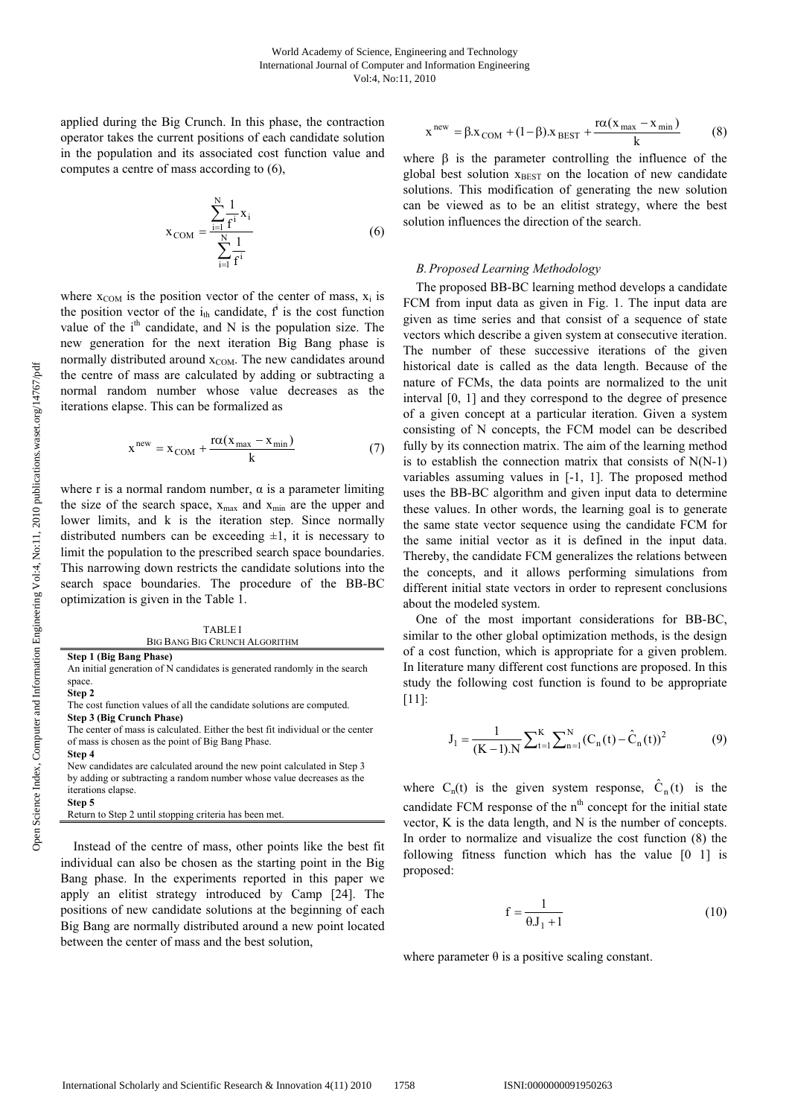applied during the Big Crunch. In this phase, the contraction operator takes the current positions of each candidate solution in the population and its associated cost function value and computes a centre of mass according to (6),

$$
x_{COM} = \frac{\sum_{i=1}^{N} \frac{1}{f^{i}} x_{i}}{\sum_{i=1}^{N} \frac{1}{f^{i}}}
$$
 (6)

where  $x_{COM}$  is the position vector of the center of mass,  $x_i$  is the position vector of the  $i_{th}$  candidate,  $f^i$  is the cost function value of the  $i<sup>th</sup>$  candidate, and N is the population size. The new generation for the next iteration Big Bang phase is normally distributed around  $x_{COM}$ . The new candidates around the centre of mass are calculated by adding or subtracting a normal random number whose value decreases as the iterations elapse. This can be formalized as

$$
xnew = xCOM + \frac{r\alpha(xmax - xmin)}{k}
$$
 (7)

where r is a normal random number,  $\alpha$  is a parameter limiting the size of the search space,  $x_{\text{max}}$  and  $x_{\text{min}}$  are the upper and lower limits, and k is the iteration step. Since normally distributed numbers can be exceeding  $\pm 1$ , it is necessary to limit the population to the prescribed search space boundaries. This narrowing down restricts the candidate solutions into the search space boundaries. The procedure of the BB-BC optimization is given in the Table 1.

TABLE I BIG BANG BIG CRUNCH ALGORITHM

**Step 1 (Big Bang Phase)** 

An initial generation of N candidates is generated randomly in the search space.

**Step 2**

The cost function values of all the candidate solutions are computed.

**Step 3 (Big Crunch Phase)**  The center of mass is calculated. Either the best fit individual or the center of mass is chosen as the point of Big Bang Phase.

**Step 4**  New candidates are calculated around the new point calculated in Step 3 by adding or subtracting a random number whose value decreases as the iterations elapse. **Step 5**

Return to Step 2 until stopping criteria has been met.

Instead of the centre of mass, other points like the best fit individual can also be chosen as the starting point in the Big Bang phase. In the experiments reported in this paper we apply an elitist strategy introduced by Camp [24]. The positions of new candidate solutions at the beginning of each Big Bang are normally distributed around a new point located between the center of mass and the best solution,

$$
xnew = \beta xCOM + (1 - \beta)xBEST + \frac{r\alpha(x_{max} - x_{min})}{k}
$$
 (8)

where  $\beta$  is the parameter controlling the influence of the global best solution  $x<sub>BEST</sub>$  on the location of new candidate solutions. This modification of generating the new solution can be viewed as to be an elitist strategy, where the best solution influences the direction of the search.

## *B. Proposed Learning Methodology*

The proposed BB-BC learning method develops a candidate FCM from input data as given in Fig. 1. The input data are given as time series and that consist of a sequence of state vectors which describe a given system at consecutive iteration. The number of these successive iterations of the given historical date is called as the data length. Because of the nature of FCMs, the data points are normalized to the unit interval [0, 1] and they correspond to the degree of presence of a given concept at a particular iteration. Given a system consisting of N concepts, the FCM model can be described fully by its connection matrix. The aim of the learning method is to establish the connection matrix that consists of  $N(N-1)$ variables assuming values in [-1, 1]. The proposed method uses the BB-BC algorithm and given input data to determine these values. In other words, the learning goal is to generate the same state vector sequence using the candidate FCM for the same initial vector as it is defined in the input data. Thereby, the candidate FCM generalizes the relations between the concepts, and it allows performing simulations from different initial state vectors in order to represent conclusions about the modeled system.

One of the most important considerations for BB-BC, similar to the other global optimization methods, is the design of a cost function, which is appropriate for a given problem. In literature many different cost functions are proposed. In this study the following cost function is found to be appropriate [11]:

$$
J_1 = \frac{1}{(K-1).N} \sum_{t=1}^{K} \sum_{n=1}^{N} (C_n(t) - \hat{C}_n(t))^2
$$
(9)

where  $C_n(t)$  is the given system response,  $\hat{C}_n(t)$  is the candidate FCM response of the  $n<sup>th</sup>$  concept for the initial state vector, K is the data length, and N is the number of concepts. In order to normalize and visualize the cost function (8) the following fitness function which has the value [0 1] is proposed:

$$
f = \frac{1}{\theta J_1 + 1} \tag{10}
$$

where parameter  $\theta$  is a positive scaling constant.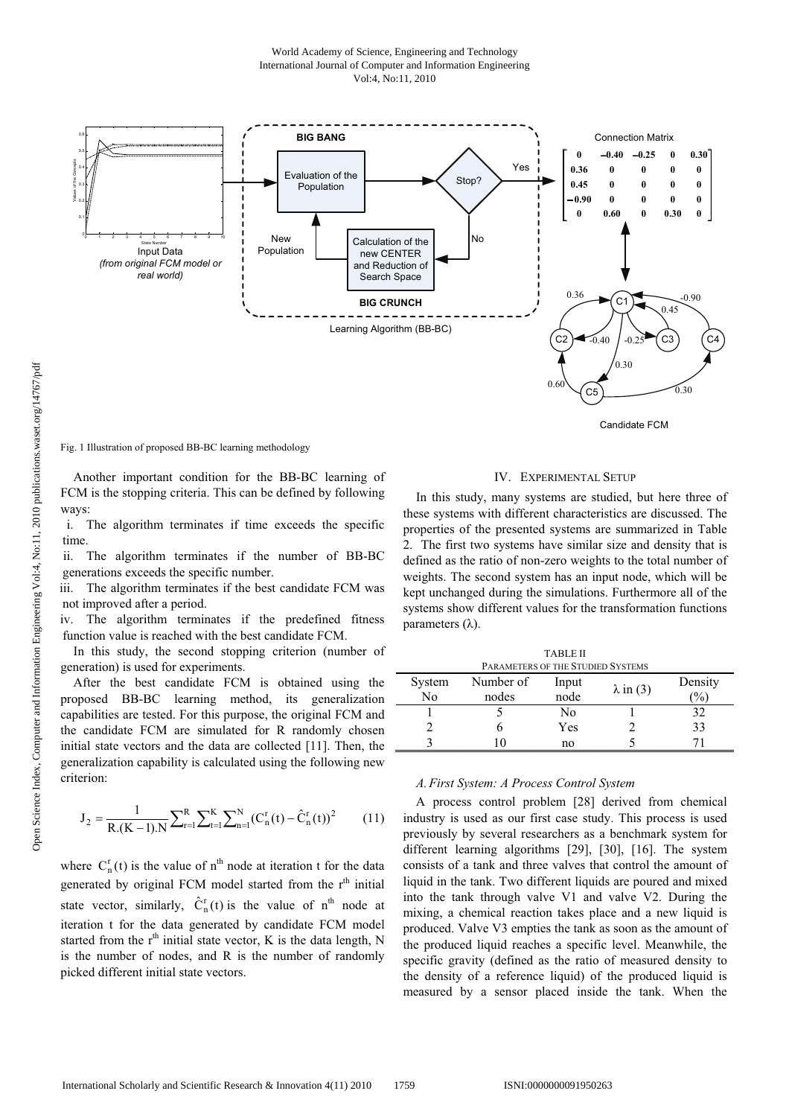

Fig. 1 Illustration of proposed BB-BC learning methodology

Another important condition for the BB-BC learning of FCM is the stopping criteria. This can be defined by following ways:

i. The algorithm terminates if time exceeds the specific time.

ii. The algorithm terminates if the number of BB-BC generations exceeds the specific number.

iii. The algorithm terminates if the best candidate FCM was not improved after a period.

iv. The algorithm terminates if the predefined fitness function value is reached with the best candidate FCM.

In this study, the second stopping criterion (number of generation) is used for experiments.

After the best candidate FCM is obtained using the proposed BB-BC learning method, its generalization capabilities are tested. For this purpose, the original FCM and the candidate FCM are simulated for R randomly chosen initial state vectors and the data are collected [11]. Then, the generalization capability is calculated using the following new criterion:

$$
J_2 = \frac{1}{R.(K-1).N} \sum_{r=1}^{R} \sum_{t=1}^{K} \sum_{n=1}^{N} (C_n^r(t) - \hat{C}_n^r(t))^2
$$
(11)

where  $C_n^r(t)$  is the value of  $n^{th}$  node at iteration t for the data generated by original FCM model started from the  $r<sup>th</sup>$  initial state vector, similarly,  $\hat{C}_n^r(t)$  is the value of  $n^{th}$  node at iteration t for the data generated by candidate FCM model started from the  $r<sup>th</sup>$  initial state vector, K is the data length, N is the number of nodes, and R is the number of randomly picked different initial state vectors.

## IV. EXPERIMENTAL SETUP

In this study, many systems are studied, but here three of these systems with different characteristics are discussed. The properties of the presented systems are summarized in Table 2. The first two systems have similar size and density that is defined as the ratio of non-zero weights to the total number of weights. The second system has an input node, which will be kept unchanged during the simulations. Furthermore all of the systems show different values for the transformation functions parameters  $(\lambda)$ .

| <b>TABLE II</b> |                                   |       |                  |         |  |  |  |
|-----------------|-----------------------------------|-------|------------------|---------|--|--|--|
|                 | PARAMETERS OF THE STUDIED SYSTEMS |       |                  |         |  |  |  |
| System          | Number of                         | Input | $\lambda$ in (3) | Density |  |  |  |
| No              | nodes                             | node  |                  | $\%$    |  |  |  |
|                 |                                   | No    |                  | 32      |  |  |  |
|                 |                                   | Yes   |                  | 33      |  |  |  |
|                 |                                   | no    |                  |         |  |  |  |
|                 |                                   |       |                  |         |  |  |  |

## *A. First System: A Process Control System*

A process control problem [28] derived from chemical industry is used as our first case study. This process is used previously by several researchers as a benchmark system for different learning algorithms [29], [30], [16]. The system consists of a tank and three valves that control the amount of liquid in the tank. Two different liquids are poured and mixed into the tank through valve V1 and valve V2. During the mixing, a chemical reaction takes place and a new liquid is produced. Valve V3 empties the tank as soon as the amount of the produced liquid reaches a specific level. Meanwhile, the specific gravity (defined as the ratio of measured density to the density of a reference liquid) of the produced liquid is measured by a sensor placed inside the tank. When the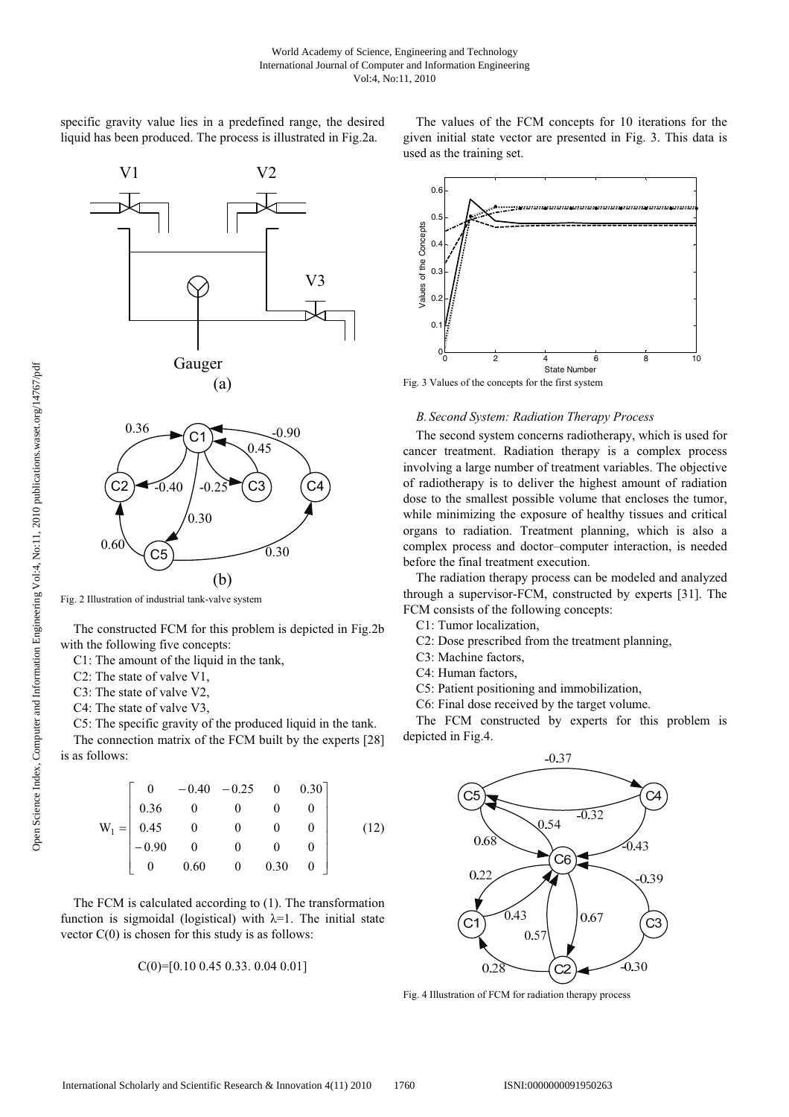specific gravity value lies in a predefined range, the desired liquid has been produced. The process is illustrated in Fig.2a.







Fig. 2 Illustration of industrial tank-valve system

The constructed FCM for this problem is depicted in Fig.2b with the following five concepts:

C1: The amount of the liquid in the tank,

C2: The state of valve V1,

C3: The state of valve V2,

C4: The state of valve V3,

C5: The specific gravity of the produced liquid in the tank.

The connection matrix of the FCM built by the experts [28] is as follows:

$$
W_1 = \begin{bmatrix} 0 & -0.40 & -0.25 & 0 & 0.30 \\ 0.36 & 0 & 0 & 0 & 0 \\ 0.45 & 0 & 0 & 0 & 0 \\ -0.90 & 0 & 0 & 0 & 0 \\ 0 & 0.60 & 0 & 0.30 & 0 \end{bmatrix}
$$
(12)

The FCM is calculated according to (1). The transformation function is sigmoidal (logistical) with  $\lambda=1$ . The initial state vector  $C(0)$  is chosen for this study is as follows:

$$
C(0) = [0.10\ 0.45\ 0.33\ 0.04\ 0.01]
$$

The values of the FCM concepts for 10 iterations for the given initial state vector are presented in Fig. 3. This data is used as the training set.



Fig. 3 Values of the concepts for the first system

# *B. Second System: Radiation Therapy Process*

The second system concerns radiotherapy, which is used for cancer treatment. Radiation therapy is a complex process involving a large number of treatment variables. The objective of radiotherapy is to deliver the highest amount of radiation dose to the smallest possible volume that encloses the tumor, while minimizing the exposure of healthy tissues and critical organs to radiation. Treatment planning, which is also a complex process and doctor–computer interaction, is needed before the final treatment execution.

The radiation therapy process can be modeled and analyzed through a supervisor-FCM, constructed by experts [31]. The FCM consists of the following concepts:

C1: Tumor localization,

- C2: Dose prescribed from the treatment planning,
- C3: Machine factors,
- C4: Human factors,
- C5: Patient positioning and immobilization,
- C6: Final dose received by the target volume.

The FCM constructed by experts for this problem is depicted in Fig.4.



Fig. 4 Illustration of FCM for radiation therapy process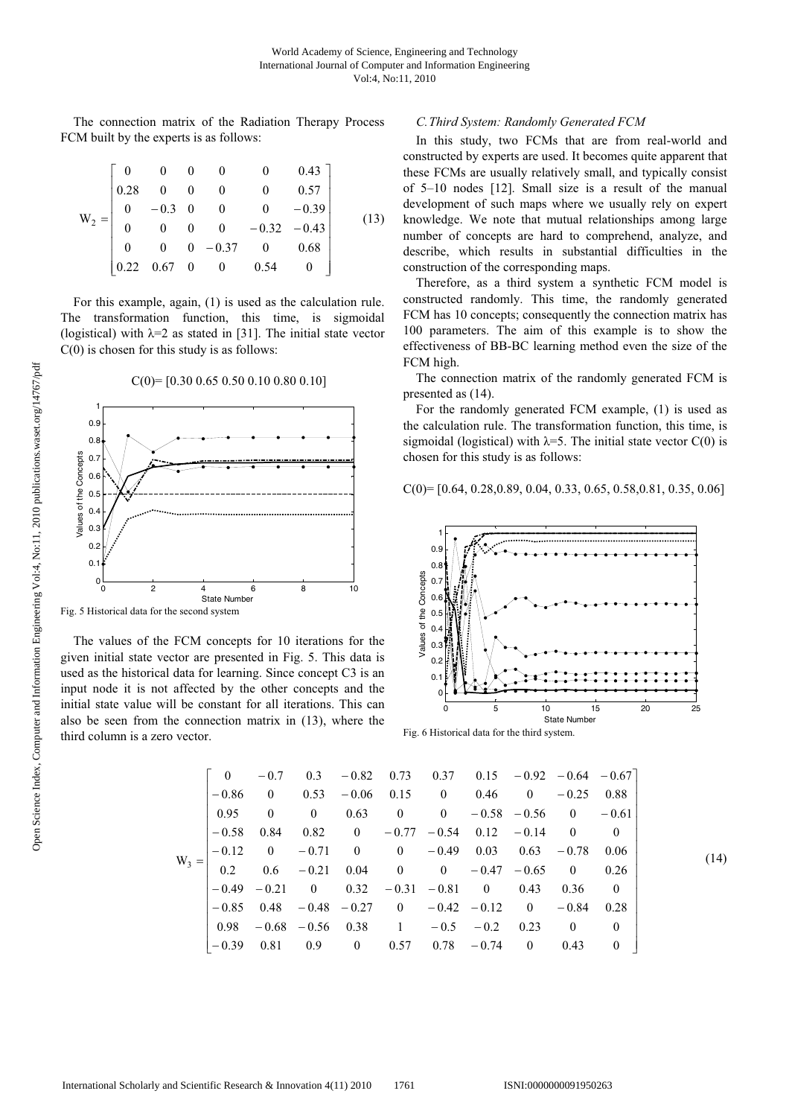The connection matrix of the Radiation Therapy Process FCM built by the experts is as follows:

$$
W_2 = \begin{bmatrix} 0 & 0 & 0 & 0 & 0 & 0.43 \\ 0.28 & 0 & 0 & 0 & 0 & 0.57 \\ 0 & -0.3 & 0 & 0 & 0 & -0.39 \\ 0 & 0 & 0 & 0 & -0.32 & -0.43 \\ 0 & 0 & 0 & -0.37 & 0 & 0.68 \\ 0.22 & 0.67 & 0 & 0 & 0.54 & 0 \end{bmatrix}
$$
(13)

For this example, again, (1) is used as the calculation rule. The transformation function, this time, is sigmoidal (logistical) with  $\lambda=2$  as stated in [31]. The initial state vector  $C(0)$  is chosen for this study is as follows:



C(0)= [0.30 0.65 0.50 0.10 0.80 0.10]

Fig. 5 Historical data for the second system

The values of the FCM concepts for 10 iterations for the given initial state vector are presented in Fig. 5. This data is used as the historical data for learning. Since concept C3 is an input node it is not affected by the other concepts and the initial state value will be constant for all iterations. This can also be seen from the connection matrix in (13), where the third column is a zero vector.

# *C.Third System: Randomly Generated FCM*

In this study, two FCMs that are from real-world and constructed by experts are used. It becomes quite apparent that these FCMs are usually relatively small, and typically consist of 5–10 nodes [12]. Small size is a result of the manual development of such maps where we usually rely on expert knowledge. We note that mutual relationships among large number of concepts are hard to comprehend, analyze, and describe, which results in substantial difficulties in the construction of the corresponding maps.

Therefore, as a third system a synthetic FCM model is constructed randomly. This time, the randomly generated FCM has 10 concepts; consequently the connection matrix has 100 parameters. The aim of this example is to show the effectiveness of BB-BC learning method even the size of the FCM high.

The connection matrix of the randomly generated FCM is presented as (14).

For the randomly generated FCM example, (1) is used as the calculation rule. The transformation function, this time, is sigmoidal (logistical) with  $\lambda$ =5. The initial state vector C(0) is chosen for this study is as follows:

$$
C(0) = [0.64, 0.28, 0.89, 0.04, 0.33, 0.65, 0.58, 0.81, 0.35, 0.06]
$$



Fig. 6 Historical data for the third system.

|         |         |  |                                                               |  |  |      | $0 -0.7$ 0.3 $-0.82$ 0.73  0.37  0.15 $-0.92$ $-0.64$ $-0.67$ |
|---------|---------|--|---------------------------------------------------------------|--|--|------|---------------------------------------------------------------|
|         |         |  | $-0.86$ 0 0.53 $-0.06$ 0.15 0 0.46 0 $-0.25$ 0.88             |  |  |      |                                                               |
|         |         |  | $0.95$ 0 0 0.63 0 0 -0.58 -0.56 0 -0.61                       |  |  |      |                                                               |
|         | $-0.58$ |  | $0.84$ $0.82$ 0 $-0.77$ $-0.54$ 0.12 $-0.14$ 0                |  |  |      | $\sim$ 0                                                      |
|         |         |  | $-0.12$ 0 $-0.71$ 0 0 $-0.49$ 0.03 0.63 $-0.78$ 0.06          |  |  |      |                                                               |
| $W_3 =$ |         |  | 0.2 0.6 $-0.21$ 0.04 0 0 $-0.47$ $-0.65$ 0 0.26               |  |  |      |                                                               |
|         |         |  | $-0.49$ $-0.21$ 0 $0.32$ $-0.31$ $-0.81$ 0 0.43 0.36          |  |  |      | $\overline{0}$                                                |
|         |         |  | $-0.85$ 0.48 $-0.48$ $-0.27$ 0 $-0.42$ $-0.12$ 0 $-0.84$ 0.28 |  |  |      |                                                               |
|         |         |  | $0.98$ $-0.68$ $-0.56$ $0.38$ 1 $-0.5$ $-0.2$ 0.23 0          |  |  |      | $\overline{0}$                                                |
|         |         |  | $-0.39$ 0.81 0.9 0 0.57 0.78 $-0.74$ 0                        |  |  | 0.43 | $\theta$                                                      |

(14)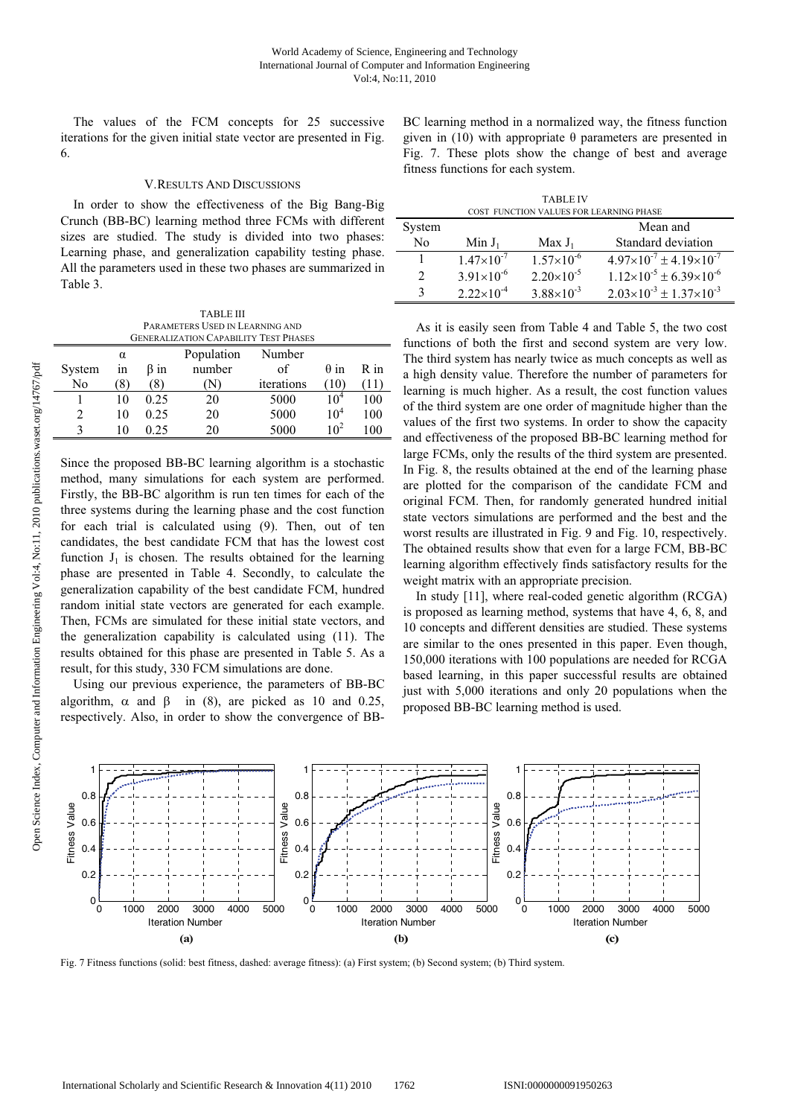The values of the FCM concepts for 25 successive iterations for the given initial state vector are presented in Fig. 6.

# V.RESULTS AND DISCUSSIONS

In order to show the effectiveness of the Big Bang-Big Crunch (BB-BC) learning method three FCMs with different sizes are studied. The study is divided into two phases: Learning phase, and generalization capability testing phase. All the parameters used in these two phases are summarized in Table 3.

TABLE III PARAMETERS USED IN LEARNING AND GENERALIZATION CAPABILITY TEST PHASES

|                        |             |            | OLINERALIZATIVIN VALADILITTI TEJI TIRIJEJ |            |                   |      |
|------------------------|-------------|------------|-------------------------------------------|------------|-------------------|------|
|                        | α           |            | Population                                | Number     |                   |      |
| System                 | in          | $\beta$ in | number                                    | οf         | $\theta$ in       | R in |
| No                     | $8^{\circ}$ | (8)        |                                           | iterations | $\left(10\right)$ | (11) |
|                        | 10          | 0.25       | 20                                        | 5000       | 10 <sup>4</sup>   | 100  |
|                        | 10          | 0.25       | 20                                        | 5000       | 10 <sup>4</sup>   | 100  |
| $\mathbf{\mathcal{R}}$ | 10          | 0.25       | 20                                        | 5000       | 10 <sup>2</sup>   | 100  |

Since the proposed BB-BC learning algorithm is a stochastic method, many simulations for each system are performed. Firstly, the BB-BC algorithm is run ten times for each of the three systems during the learning phase and the cost function for each trial is calculated using (9). Then, out of ten candidates, the best candidate FCM that has the lowest cost function  $J_1$  is chosen. The results obtained for the learning phase are presented in Table 4. Secondly, to calculate the generalization capability of the best candidate FCM, hundred random initial state vectors are generated for each example. Then, FCMs are simulated for these initial state vectors, and the generalization capability is calculated using (11). The results obtained for this phase are presented in Table 5. As a result, for this study, 330 FCM simulations are done.

Using our previous experience, the parameters of BB-BC algorithm,  $\alpha$  and  $\beta$  in (8), are picked as 10 and 0.25, respectively. Also, in order to show the convergence of BB- BC learning method in a normalized way, the fitness function given in (10) with appropriate  $\theta$  parameters are presented in Fig. 7. These plots show the change of best and average fitness functions for each system.

| <b>TABLE IV</b>                         |                     |                       |                                           |  |  |  |  |
|-----------------------------------------|---------------------|-----------------------|-------------------------------------------|--|--|--|--|
| COST FUNCTION VALUES FOR LEARNING PHASE |                     |                       |                                           |  |  |  |  |
| System                                  |                     |                       | Mean and                                  |  |  |  |  |
| No                                      | Min $J_1$           | $Max J_1$             | Standard deviation                        |  |  |  |  |
|                                         | $1.47\times10^{-7}$ | $1.57\times10^{-6}$   | $4.97\times10^{-7} \pm 4.19\times10^{-7}$ |  |  |  |  |
| $\mathfrak{D}$                          | $3.91\times10^{-6}$ | $2.20\times10^{-5}$   | $1.12\times10^{-5} \pm 6.39\times10^{-6}$ |  |  |  |  |
| 3                                       | $2.22\times10^{-4}$ | $3.88 \times 10^{-3}$ | $2.03\times10^{-3} \pm 1.37\times10^{-3}$ |  |  |  |  |

As it is easily seen from Table 4 and Table 5, the two cost functions of both the first and second system are very low. The third system has nearly twice as much concepts as well as a high density value. Therefore the number of parameters for learning is much higher. As a result, the cost function values of the third system are one order of magnitude higher than the values of the first two systems. In order to show the capacity and effectiveness of the proposed BB-BC learning method for large FCMs, only the results of the third system are presented. In Fig. 8, the results obtained at the end of the learning phase are plotted for the comparison of the candidate FCM and original FCM. Then, for randomly generated hundred initial state vectors simulations are performed and the best and the worst results are illustrated in Fig. 9 and Fig. 10, respectively. The obtained results show that even for a large FCM, BB-BC learning algorithm effectively finds satisfactory results for the weight matrix with an appropriate precision.

In study [11], where real-coded genetic algorithm (RCGA) is proposed as learning method, systems that have 4, 6, 8, and 10 concepts and different densities are studied. These systems are similar to the ones presented in this paper. Even though, 150,000 iterations with 100 populations are needed for RCGA based learning, in this paper successful results are obtained just with 5,000 iterations and only 20 populations when the proposed BB-BC learning method is used.



Fig. 7 Fitness functions (solid: best fitness, dashed: average fitness): (a) First system; (b) Second system; (b) Third system.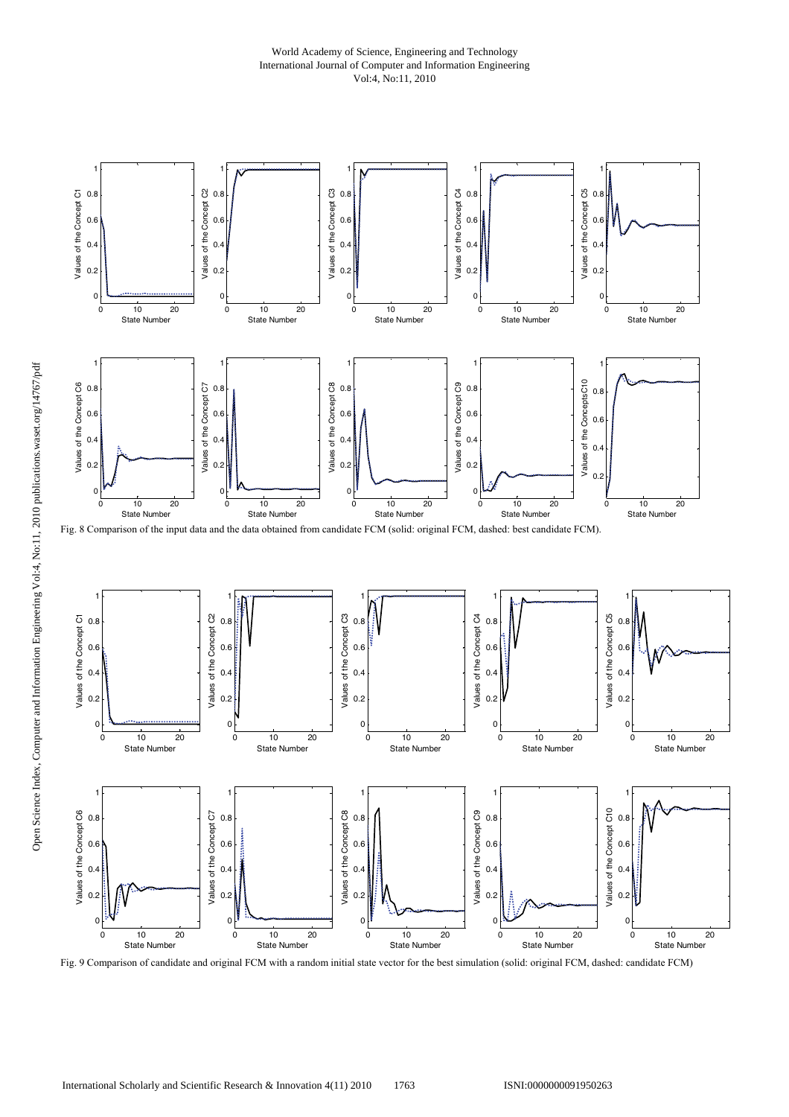# World Academy of Science, Engineering and Technology International Journal of Computer and Information Engineering Vol:4, No:11, 2010



Fig. 9 Comparison of candidate and original FCM with a random initial state vector for the best simulation (solid: original FCM, dashed: candidate FCM)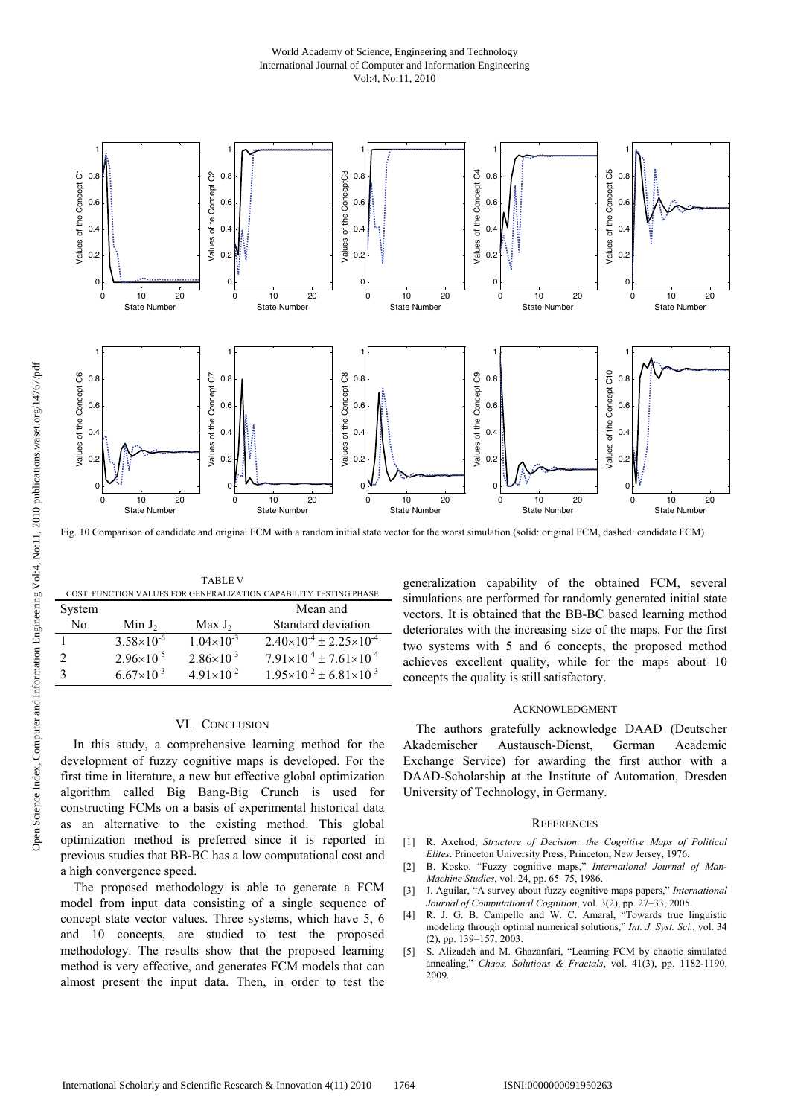# World Academy of Science, Engineering and Technology International Journal of Computer and Information Engineering Vol:4, No:11, 2010



Fig. 10 Comparison of candidate and original FCM with a random initial state vector for the worst simulation (solid: original FCM, dashed: candidate FCM)

| <b>TABLE V</b>                                                   |                     |                       |                                           |  |  |  |
|------------------------------------------------------------------|---------------------|-----------------------|-------------------------------------------|--|--|--|
| COST FUNCTION VALUES FOR GENERALIZATION CAPABILITY TESTING PHASE |                     |                       |                                           |  |  |  |
| System                                                           |                     |                       | Mean and                                  |  |  |  |
| No                                                               | Min $J_2$           | Max $J_2$             | Standard deviation                        |  |  |  |
| 1                                                                | $3.58\times10^{-6}$ | $1.04\times10^{-3}$   | $2.40\times10^{-4} \pm 2.25\times10^{-4}$ |  |  |  |
| 2                                                                | $2.96\times10^{-5}$ | $2.86 \times 10^{-3}$ | $7.91\times10^{-4} \pm 7.61\times10^{-4}$ |  |  |  |
| 3                                                                | $6.67\times10^{-3}$ | $4.91 \times 10^{-2}$ | $1.95\times10^{-2} \pm 6.81\times10^{-3}$ |  |  |  |

#### VI. CONCLUSION

In this study, a comprehensive learning method for the development of fuzzy cognitive maps is developed. For the first time in literature, a new but effective global optimization algorithm called Big Bang-Big Crunch is used for constructing FCMs on a basis of experimental historical data as an alternative to the existing method. This global optimization method is preferred since it is reported in previous studies that BB-BC has a low computational cost and a high convergence speed.

The proposed methodology is able to generate a FCM model from input data consisting of a single sequence of concept state vector values. Three systems, which have 5, 6 and 10 concepts, are studied to test the proposed methodology. The results show that the proposed learning method is very effective, and generates FCM models that can almost present the input data. Then, in order to test the

generalization capability of the obtained FCM, several simulations are performed for randomly generated initial state vectors. It is obtained that the BB-BC based learning method deteriorates with the increasing size of the maps. For the first two systems with 5 and 6 concepts, the proposed method achieves excellent quality, while for the maps about 10 concepts the quality is still satisfactory.

#### ACKNOWLEDGMENT

The authors gratefully acknowledge DAAD (Deutscher Akademischer Austausch-Dienst, German Academic Exchange Service) for awarding the first author with a DAAD-Scholarship at the Institute of Automation, Dresden University of Technology, in Germany.

#### **REFERENCES**

- [1] R. Axelrod, *Structure of Decision: the Cognitive Maps of Political Elites*. Princeton University Press, Princeton, New Jersey, 1976.
- [2] B. Kosko, "Fuzzy cognitive maps," *International Journal of Man-Machine Studies*, vol. 24, pp. 65–75, 1986.
- [3] J. Aguilar, "A survey about fuzzy cognitive maps papers," *International Journal of Computational Cognition*, vol. 3(2), pp. 27–33, 2005.
- [4] R. J. G. B. Campello and W. C. Amaral, "Towards true linguistic modeling through optimal numerical solutions," *Int. J. Syst. Sci.*, vol. 34 (2), pp. 139–157, 2003.
- [5] S. Alizadeh and M. Ghazanfari, "Learning FCM by chaotic simulated annealing," *Chaos, Solutions & Fractals*, vol. 41(3), pp. 1182-1190, 2009.